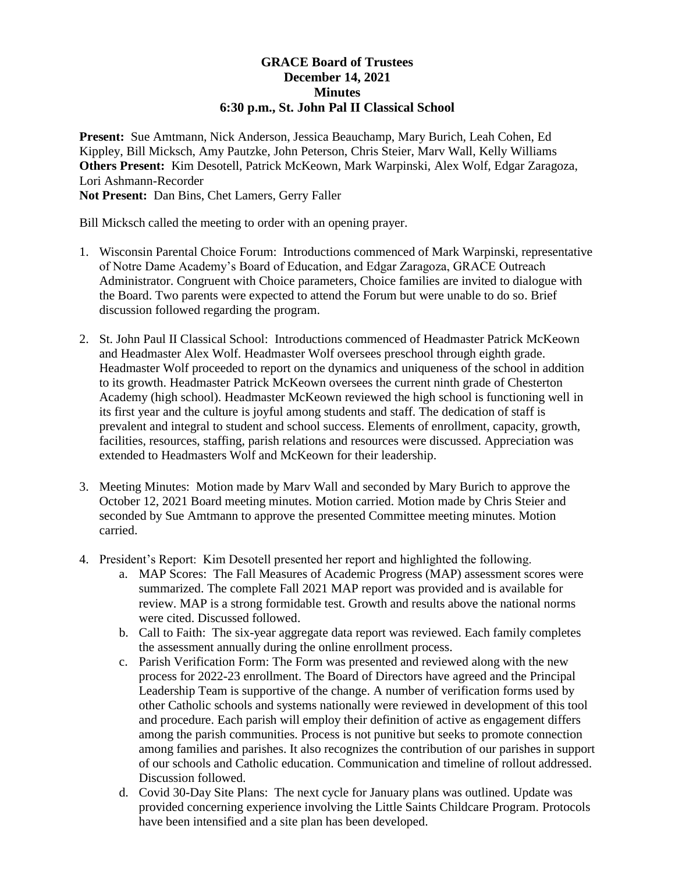## **GRACE Board of Trustees December 14, 2021 Minutes 6:30 p.m., St. John Pal II Classical School**

**Present:** Sue Amtmann, Nick Anderson, Jessica Beauchamp, Mary Burich, Leah Cohen, Ed Kippley, Bill Micksch, Amy Pautzke, John Peterson, Chris Steier, Marv Wall, Kelly Williams **Others Present:** Kim Desotell, Patrick McKeown, Mark Warpinski, Alex Wolf, Edgar Zaragoza, Lori Ashmann-Recorder

**Not Present:** Dan Bins, Chet Lamers, Gerry Faller

Bill Micksch called the meeting to order with an opening prayer.

- 1. Wisconsin Parental Choice Forum: Introductions commenced of Mark Warpinski, representative of Notre Dame Academy's Board of Education, and Edgar Zaragoza, GRACE Outreach Administrator. Congruent with Choice parameters, Choice families are invited to dialogue with the Board. Two parents were expected to attend the Forum but were unable to do so. Brief discussion followed regarding the program.
- 2. St. John Paul II Classical School: Introductions commenced of Headmaster Patrick McKeown and Headmaster Alex Wolf. Headmaster Wolf oversees preschool through eighth grade. Headmaster Wolf proceeded to report on the dynamics and uniqueness of the school in addition to its growth. Headmaster Patrick McKeown oversees the current ninth grade of Chesterton Academy (high school). Headmaster McKeown reviewed the high school is functioning well in its first year and the culture is joyful among students and staff. The dedication of staff is prevalent and integral to student and school success. Elements of enrollment, capacity, growth, facilities, resources, staffing, parish relations and resources were discussed. Appreciation was extended to Headmasters Wolf and McKeown for their leadership.
- 3. Meeting Minutes: Motion made by Marv Wall and seconded by Mary Burich to approve the October 12, 2021 Board meeting minutes. Motion carried. Motion made by Chris Steier and seconded by Sue Amtmann to approve the presented Committee meeting minutes. Motion carried.
- 4. President's Report: Kim Desotell presented her report and highlighted the following.
	- a. MAP Scores: The Fall Measures of Academic Progress (MAP) assessment scores were summarized. The complete Fall 2021 MAP report was provided and is available for review. MAP is a strong formidable test. Growth and results above the national norms were cited. Discussed followed.
	- b. Call to Faith: The six-year aggregate data report was reviewed. Each family completes the assessment annually during the online enrollment process.
	- c. Parish Verification Form: The Form was presented and reviewed along with the new process for 2022-23 enrollment. The Board of Directors have agreed and the Principal Leadership Team is supportive of the change. A number of verification forms used by other Catholic schools and systems nationally were reviewed in development of this tool and procedure. Each parish will employ their definition of active as engagement differs among the parish communities. Process is not punitive but seeks to promote connection among families and parishes. It also recognizes the contribution of our parishes in support of our schools and Catholic education. Communication and timeline of rollout addressed. Discussion followed.
	- d. Covid 30-Day Site Plans: The next cycle for January plans was outlined. Update was provided concerning experience involving the Little Saints Childcare Program. Protocols have been intensified and a site plan has been developed.